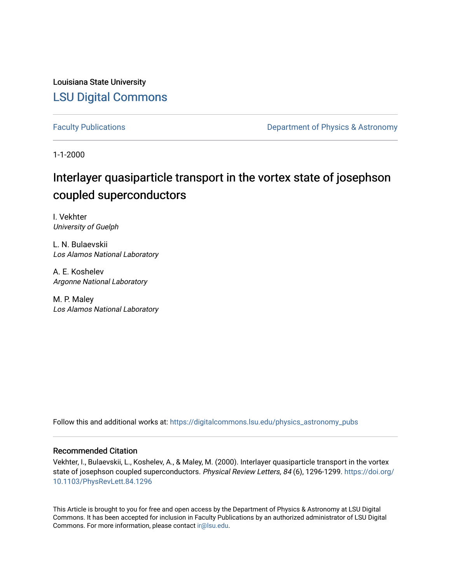Louisiana State University [LSU Digital Commons](https://digitalcommons.lsu.edu/)

[Faculty Publications](https://digitalcommons.lsu.edu/physics_astronomy_pubs) **Exercise 2 and Table 2 and Table 2 and Table 2 and Table 2 and Table 2 and Table 2 and Table 2 and Table 2 and Table 2 and Table 2 and Table 2 and Table 2 and Table 2 and Table 2 and Table 2 and Table** 

1-1-2000

## Interlayer quasiparticle transport in the vortex state of josephson coupled superconductors

I. Vekhter University of Guelph

L. N. Bulaevskii Los Alamos National Laboratory

A. E. Koshelev Argonne National Laboratory

M. P. Maley Los Alamos National Laboratory

Follow this and additional works at: [https://digitalcommons.lsu.edu/physics\\_astronomy\\_pubs](https://digitalcommons.lsu.edu/physics_astronomy_pubs?utm_source=digitalcommons.lsu.edu%2Fphysics_astronomy_pubs%2F5472&utm_medium=PDF&utm_campaign=PDFCoverPages) 

## Recommended Citation

Vekhter, I., Bulaevskii, L., Koshelev, A., & Maley, M. (2000). Interlayer quasiparticle transport in the vortex state of josephson coupled superconductors. Physical Review Letters, 84 (6), 1296-1299. [https://doi.org/](https://doi.org/10.1103/PhysRevLett.84.1296) [10.1103/PhysRevLett.84.1296](https://doi.org/10.1103/PhysRevLett.84.1296) 

This Article is brought to you for free and open access by the Department of Physics & Astronomy at LSU Digital Commons. It has been accepted for inclusion in Faculty Publications by an authorized administrator of LSU Digital Commons. For more information, please contact [ir@lsu.edu](mailto:ir@lsu.edu).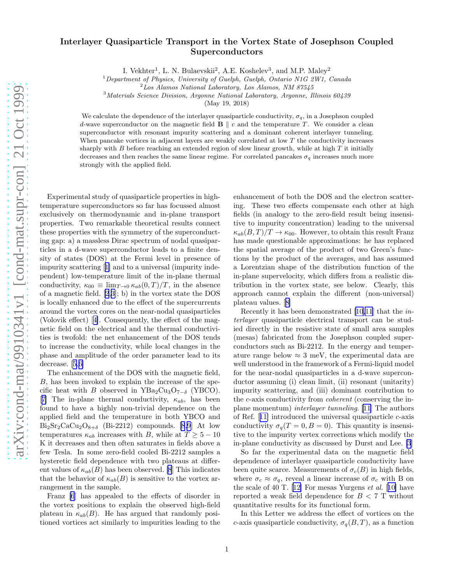## Interlayer Quasiparticle Transport in the Vortex State of Josephson Coupled Superconductors

I. Vekhter<sup>1</sup>, L. N. Bulaevskii<sup>2</sup>, A.E. Koshelev<sup>3</sup>, and M.P. Maley<sup>2</sup>

<sup>1</sup>Department of Physics, University of Guelph, Guelph, Ontario N1G 2W1, Canada

<sup>3</sup>Materials Science Division, Argonne National Laboratory, Argonne, Illinois 60439

(May 19, 2018)

We calculate the dependence of the interlayer quasiparticle conductivity,  $\sigma_q$ , in a Josephson coupled d-wave superconductor on the magnetic field  $\mathbf{B} \parallel c$  and the temperature T. We consider a clean superconductor with resonant impurity scattering and a dominant coherent interlayer tunneling. When pancake vortices in adjacent layers are weakly correlated at low  $T$  the conductivity increases sharply with  $B$  before reaching an extended region of slow linear growth, while at high  $T$  it initially decreases and then reaches the same linear regime. For correlated pancakes  $\sigma_q$  increases much more strongly with the applied field.

Experimental study of quasiparticle properties in hightemperature superconductors so far has focussed almost exclusively on thermodynamic and in-plane transport properties. Two remarkable theoretical results connect these properties with the symmetry of the superconducting gap: a) a massless Dirac spectrum of nodal quasiparticles in a d-wave superconductor leads to a finite density of states (DOS) at the Fermi level in presence of impurity scattering[[1\]](#page-4-0) and to a universal (impurity independent) low-temperature limit of the in-plane thermal conductivity,  $\kappa_{00} \equiv \lim_{T \to 0} \kappa_{ab}(0,T)/T$ , in the absence of a magnetic field. [\[2](#page-4-0),[3\]](#page-4-0); b) in the vortex state the DOS is locally enhanced due to the effect of the supercurrents around the vortex cores on the near-nodal quasiparticles (Volovik effect)[[4\]](#page-4-0). Consequently, the effect of the magnetic field on the electrical and the thermal conductivities is twofold: the net enhancement of the DOS tends to increase the conductivity, while local changes in the phase and amplitude of the order parameter lead to its decrease.[[5,6\]](#page-4-0)

The enhancement of the DOS with the magnetic field, B, has been invoked to explain the increase of the specific heat with B observed in  $YBa_2Cu_3O_{7-\delta}$  (YBCO). [[7\]](#page-4-0) The in-plane thermal conductivity,  $\kappa_{ab}$ , has been found to have a highly non-trivial dependence on the applied field and the temperature in both YBCO and  $\text{Bi}_2\text{Sr}_2\text{CaCu}_2\text{O}_{8+\delta}$  (Bi-2212) compounds. [\[8,9](#page-4-0)] At low temperatures  $\kappa_{ab}$  increases with B, while at  $T \geq 5 - 10$ K it decreases and then often saturates in fields above a few Tesla. In some zero-field cooled Bi-2212 samples a hysteretic field dependence with two plateaus at different values of  $\kappa_{ab}(B)$  has been observed. [\[8](#page-4-0)] This indicates that the behavior of  $\kappa_{ab}(B)$  is sensitive to the vortex arrangement in the sample.

Franz [\[6](#page-4-0)] has appealed to the effects of disorder in the vortex positions to explain the observed high-field plateau in  $\kappa_{ab}(B)$ . He has argued that randomly positioned vortices act similarly to impurities leading to the

enhancement of both the DOS and the electron scattering. These two effects compensate each other at high fields (in analogy to the zero-field result being insensitive to impurity concentration) leading to the universal  $\kappa_{ab}(B,T)/T \to \kappa_{00}$ . However, to obtain this result Franz has made questionable approximations: he has replaced the spatial average of the product of two Green's functions by the product of the averages, and has assumed a Lorentzian shape of the distribution function of the in-plane supervelocity, which differs from a realistic distribution in the vortex state, see below. Clearly, this approach cannot explain the different (non-universal) plateau values.[[8\]](#page-4-0)

Recently it has been demonstrated [\[10,11](#page-4-0)] that the interlayer quasiparticle electrical transport can be studied directly in the resistive state of small area samples (mesas) fabricated from the Josephson coupled superconductors such as Bi-2212. In the energy and temperature range below  $\approx 3$  meV, the experimental data are well understood in the framework of a Fermi-liquid model for the near-nodal quasiparticles in a d-wave superconductor assuming (i) clean limit, (ii) resonant (unitarity) impurity scattering, and (iii) dominant contribution to the c-axis conductivity from coherent (conserving the inplane momentum) interlayer tunneling. [\[11](#page-4-0)] The authors ofRef.  $[11]$  $[11]$  introduced the universal quasiparticle c-axis conductivity  $\sigma_q(T=0, B=0)$ . This quantity is insensitive to the impurity vertex corrections which modify the in-plane conductivity as discussed by Durst and Lee. [\[3](#page-4-0)]

So far the experimental data on the magnetic field dependence of interlayer quasiparticle conductivity have been quite scarce. Measurements of  $\sigma_c(B)$  in high fields, where  $\sigma_c \approx \sigma_q$ , reveal a linear increase of  $\sigma_c$  with B on the scale of 40 T. [\[12](#page-4-0)] For mesas Yurgens  $et \ al.$  [[10\]](#page-4-0) have reported a weak field dependence for  $B < 7$  T without quantitative results for its functional form.

In this Letter we address the effect of vortices on the c-axis quasiparticle conductivity,  $\sigma_q(B,T)$ , as a function

 $2$ Los Alamos National Laboratory, Los Alamos, NM 87545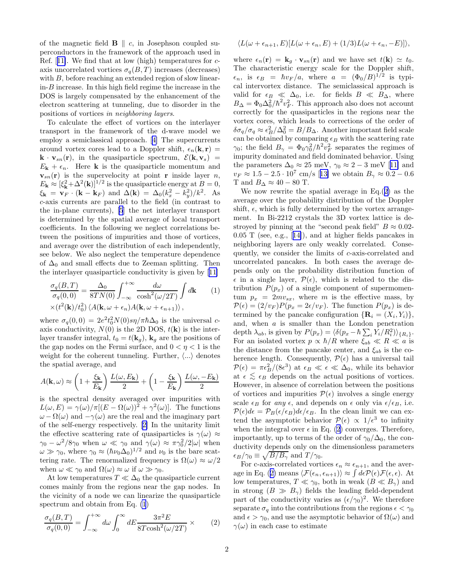<span id="page-2-0"></span>of the magnetic field  $\mathbf{B} \parallel c$ , in Josephson coupled superconductors in the framework of the approach used in Ref.[[11\]](#page-4-0). We find that at low (high) temperatures for caxis uncorrelated vortices  $\sigma_a(B,T)$  increases (decreases) with  $B$ , before reaching an extended region of slow linear $in-B$  increase. In this high field regime the increase in the DOS is largely compensated by the enhancement of the electron scattering at tunneling, due to disorder in the positions of vortices in neighboring layers.

To calculate the effect of vortices on the interlayer transport in the framework of the d-wave model we employ a semiclassical approach.[[4\]](#page-4-0) The supercurrents around vortex cores lead to a Doppler shift,  $\epsilon_n(\mathbf{k}, \mathbf{r}) =$  $\mathbf{k} \cdot \mathbf{v}_{sn}(\mathbf{r})$ , in the quasiparticle spectrum,  $\mathcal{E}(\mathbf{k}, \mathbf{v}_s)$  =  $E_{\mathbf{k}} + \epsilon_n$ . Here **k** is the quasiparticle momentum and  $\mathbf{v}_{sn}(\mathbf{r})$  is the supervelocity at point **r** inside layer *n*,  $E_{\mathbf{k}} \approx [\xi_{\mathbf{k}}^2 + \Delta^2(\mathbf{k})]^{1/2}$  is the quasiparticle energy at  $B = 0$ ,  $\xi_{\mathbf{k}} = \mathbf{v}_F \cdot (\mathbf{k} - \mathbf{k}_F)$  and  $\Delta(\mathbf{k}) = \Delta_0 (k_x^2 - k_y^2)/k^2$ . As c-axis currents are parallel to the field (in contrast to the in-plane currents), [\[5](#page-4-0)] the net interlayer transport is determined by the spatial average of local transport coefficients. In the following we neglect correlations between the positions of impurities and those of vortices, and average over the distribution of each independently, see below. We also neglect the temperature dependence of  $\Delta_0$  and small effects due to Zeeman splitting. Then the interlayer quasiparticle conductivity is given by[[11\]](#page-4-0)

$$
\frac{\sigma_q(B,T)}{\sigma_q(0,0)} = \frac{\Delta_0}{8TN(0)} \int_{-\infty}^{+\infty} \frac{d\omega}{\cosh^2(\omega/2T)} \int d\mathbf{k} \qquad (1)
$$

$$
\times (t^2(\mathbf{k})/t_0^2) \langle A(\mathbf{k}, \omega + \epsilon_n)A(\mathbf{k}, \omega + \epsilon_{n+1}) \rangle,
$$

where  $\sigma_q(0,0) = 2e^2t_0^2N(0)s\eta/\pi\hbar\Delta_0$  is the universal caxis conductivity,  $N(0)$  is the 2D DOS,  $t(\mathbf{k})$  is the interlayer transfer integral,  $t_0 = t(\mathbf{k}_g)$ ,  $\mathbf{k}_g$  are the positions of the gap nodes on the Fermi surface, and  $0 < \eta < 1$  is the weight for the coherent tunneling. Further,  $\langle ... \rangle$  denotes the spatial average, and

$$
A(\mathbf{k}, \omega) \approx \left(1 + \frac{\xi_{\mathbf{k}}}{E_{\mathbf{k}}}\right) \frac{L(\omega, E_{\mathbf{k}})}{2} + \left(1 - \frac{\xi_{\mathbf{k}}}{E_{\mathbf{k}}}\right) \frac{L(\omega, -E_{\mathbf{k}})}{2}
$$

is the spectral density averaged over impurities with  $L(\omega, E) = \gamma(\omega)/\pi[(E - \Omega(\omega))^2 + \gamma^2(\omega)].$  The functions  $\omega - \Omega(\omega)$  and  $-\gamma(\omega)$  are the real and the imaginary part of the self-energy respectively.[[2\]](#page-4-0) In the unitarity limit the effective scattering rate of quasiparticles is  $\gamma(\omega) \approx$  $\gamma_0 - \omega^2/8\gamma_0$  when  $\omega \ll \gamma_0$  and  $\gamma(\omega) \approx \pi \gamma_0^2/2|\omega|$  when  $\omega \gg \gamma_0$ , where  $\gamma_0 \approx (\hbar \nu_0 \Delta_0)^{1/2}$  and  $\nu_0$  is the bare scattering rate. The renormalized frequency is  $\Omega(\omega) \approx \omega/2$ when  $\omega \ll \gamma_0$  and  $\Omega(\omega) \approx \omega$  if  $\omega \gg \gamma_0$ .

At low temperatures  $T \ll \Delta_0$  the quasiparticle current comes mainly from the regions near the gap nodes. In the vicinity of a node we can linearize the quasiparticle spectrum and obtain from Eq. (1)

$$
\frac{\sigma_q(B,T)}{\sigma_q(0,0)} = \int_{-\infty}^{+\infty} d\omega \int_0^{\infty} dE \frac{3\pi^2 E}{8T \cosh^2(\omega/2T)} \times
$$
 (2)

$$
\langle L(\omega+\epsilon_{n+1},E)[L(\omega+\epsilon_n,E)+(1/3)L(\omega+\epsilon_n,-E)]\rangle,
$$

where  $\epsilon_n(\mathbf{r}) = \mathbf{k}_g \cdot \mathbf{v}_{sn}(\mathbf{r})$  and we have set  $t(\mathbf{k}) \simeq t_0$ . The characteristic energy scale for the Doppler shift,  $\epsilon_n$ , is  $\epsilon_B = \hbar v_F / a$ , where  $a = (\Phi_0 / B)^{1/2}$  is typical intervortex distance. The semiclassical approach is valid for  $\epsilon_B \ll \Delta_0$ , i.e. for fields  $B \ll B_{\Delta}$ , where  $B_{\Delta} = \Phi_0 \Delta_0^2 / \hbar^2 v_F^2$ . This approach also does not account correctly for the quasiparticles in the regions near the vortex cores, which leads to corrections of the order of  $\delta\sigma_q/\sigma_q \approx \epsilon_B^2/\Delta_0^2 = B/B_{\Delta}$ . Another important field scale can be obtained by comparing  $\epsilon_B$  with the scattering rate  $\gamma_0$ ; the field  $B_\gamma = \Phi_0 \gamma_0^2 / \hbar^2 v_F^2$  separates the regimes of impurity dominated and field dominated behavior. Using theparameters  $\Delta_0 \approx 25$  meV,  $\gamma_0 \approx 2 - 3$  meV [[11\]](#page-4-0) and  $v_F \approx 1.5 - 2.5 \cdot 10^7 \text{ cm/s } [13]$  $v_F \approx 1.5 - 2.5 \cdot 10^7 \text{ cm/s } [13]$  $v_F \approx 1.5 - 2.5 \cdot 10^7 \text{ cm/s } [13]$  $v_F \approx 1.5 - 2.5 \cdot 10^7 \text{ cm/s } [13]$  we obtain  $B_\gamma \approx 0.2 - 0.6$ T and  $B_{\Delta} \approx 40 - 80$  T.

We now rewrite the spatial average in Eq.(2) as the average over the probability distribution of the Doppler shift,  $\epsilon$ , which is fully determined by the vortex arrangement. In Bi-2212 crystals the 3D vortex lattice is destroyed by pinning at the "second peak field"  $B \approx 0.02$ -0.05 T (see, e.g.,[[14\]](#page-4-0)), and at higher fields pancakes in neighboring layers are only weakly correlated. Consequently, we consider the limits of c-axis-correlated and uncorrelated pancakes. In both cases the average depends only on the probability distribution function of  $\epsilon$  in a single layer,  $\mathcal{P}(\epsilon)$ , which is related to the distribution  $P(p_x)$  of a single component of supermomentum  $p_x = 2mv_{sx}$ , where m is the effective mass, by  $\mathcal{P}(\epsilon) = (2/v_F)P(p_x = 2\epsilon/v_F)$ . The function  $P(p_x)$  is determined by the pancake configuration  ${\bf R}_i = (X_i, Y_i)$ , and, when  $a$  is smaller than the London penetration depth  $\lambda_{ab}$ , is given by  $P(p_x) = \langle \delta(p_x - \hbar \sum_i Y_i / R_i^2) \rangle_{\{R_i\}}$ . For an isolated vortex  $p \propto \hbar/R$  where  $\xi_{ab} \ll R \ll a$  is the distance from the pancake center, and  $\xi_{ab}$  is the coherence length. Consequently,  $\mathcal{P}(\epsilon)$  has a universal tail  $\mathcal{P}(\epsilon) = \pi \epsilon_B^2 / (8\epsilon^3)$  at  $\epsilon_B \ll \epsilon \ll \Delta_0$ , while its behavior at  $\epsilon \lesssim \epsilon_B$  depends on the actual positions of vortices. However, in absence of correlation between the positions of vortices and impurities  $\mathcal{P}(\epsilon)$  involves a single energy scale  $\epsilon_B$  for any  $\epsilon$ , and depends on  $\epsilon$  only via  $\epsilon/\epsilon_B$ , i.e.  $\mathcal{P}(\epsilon)d\epsilon = \mathcal{P}_B(\epsilon/\epsilon_B)d\epsilon/\epsilon_B$ . In the clean limit we can extend the asymptotic behavior  $\mathcal{P}(\epsilon) \propto 1/\epsilon^3$  to infinity when the integral over  $\epsilon$  in Eq. (2) converges. Therefore, importantly, up to terms of the order of  $\gamma_0/\Delta_0$ , the conductivity depends only on the dimensionless parameters  $\epsilon_B/\gamma_0 \equiv \sqrt{B/B_\gamma}$  and  $T/\gamma_0$ .

For c-axis-correlated vortices  $\epsilon_n \approx \epsilon_{n+1}$ , and the average in Eq. (2) means  $\langle \mathcal{F}(\epsilon_n, \epsilon_{n+1}) \rangle \approx \int d\epsilon \mathcal{P}(\epsilon) \mathcal{F}(\epsilon, \epsilon)$ . At low temperatures,  $T \ll \gamma_0$ , both in weak  $(B \ll B_\gamma)$  and in strong  $(B \gg B_{\gamma})$  fields the leading field-dependent part of the conductivity varies as  $(\epsilon/\gamma_0)^2$ . We therefore separate  $\sigma_q$  into the contributions from the regions  $\epsilon < \gamma_0$ and  $\epsilon > \gamma_0$ , and use the asymptotic behavior of  $\Omega(\omega)$  and  $\gamma(\omega)$  in each case to estimate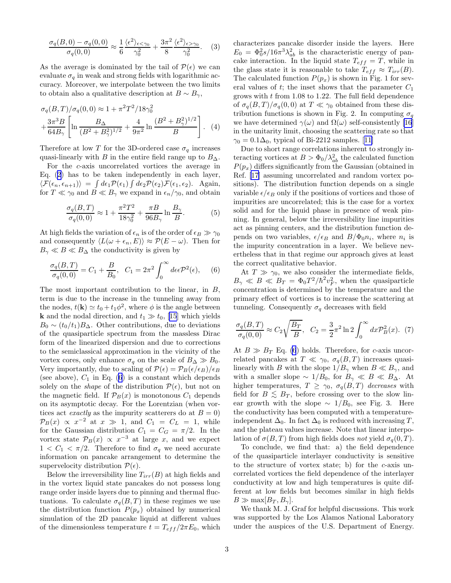$$
\frac{\sigma_q(B,0) - \sigma_q(0,0)}{\sigma_q(0,0)} \approx \frac{1}{6} \frac{\langle \epsilon^2 \rangle_{\epsilon \le \gamma_0}}{\gamma_0^2} + \frac{3\pi^2}{8} \frac{\langle \epsilon^2 \rangle_{\epsilon > \gamma_0}}{\gamma_0^2}.
$$
 (3)

As the average is dominated by the tail of  $\mathcal{P}(\epsilon)$  we can evaluate  $\sigma_q$  in weak and strong fields with logarithmic accuracy. Moreover, we interpolate between the two limits to obtain also a qualitative description at  $B \sim B_{\gamma}$ ,

$$
\sigma_q(B,T)/\sigma_q(0,0) \approx 1 + \pi^2 T^2 / 18 \gamma_0^2
$$
  
+ 
$$
\frac{3\pi^3 B}{64B_\gamma} \left[ \ln \frac{B_\Delta}{(B^2 + B_\gamma^2)^{1/2}} + \frac{4}{9\pi^2} \ln \frac{(B^2 + B_\gamma^2)^{1/2}}{B} \right].
$$
 (4)

Therefore at low T for the 3D-ordered case  $\sigma_q$  increases quasi-linearly with B in the entire field range up to  $B_{\Delta}$ .

For the c-axis uncorrelated vortices the average in Eq. [\(2](#page-2-0)) has to be taken independently in each layer,  $\langle \mathcal{F}(\epsilon_n, \epsilon_{n+1}) \rangle = \int d\epsilon_1 \mathcal{P}(\epsilon_1) \int d\epsilon_2 \mathcal{P}(\epsilon_2) \mathcal{F}(\epsilon_1, \epsilon_2)$ . Again, for  $T \ll \gamma_0$  and  $B \ll B_\gamma$  we expand in  $\epsilon_n/\gamma_0$ , and obtain

$$
\frac{\sigma_q(B,T)}{\sigma_q(0,0)} \approx 1 + \frac{\pi^2 T^2}{18\gamma_0^2} + \frac{\pi B}{96B_\gamma} \ln \frac{B_\gamma}{B}.
$$
 (5)

At high fields the variation of  $\epsilon_n$  is of the order of  $\epsilon_B \gg \gamma_0$ and consequently  $\langle L(\omega + \epsilon_n, E) \rangle \approx \mathcal{P}(E - \omega)$ . Then for  $B_{\gamma} \ll B \ll B_{\Delta}$  the conductivity is given by

$$
\frac{\sigma_q(B,T)}{\sigma_q(0,0)} = C_1 + \frac{B}{B_0}, \quad C_1 = 2\pi^2 \int_0^\infty d\epsilon \epsilon \mathcal{P}^2(\epsilon), \quad (6)
$$

The most important contribution to the linear, in B, term is due to the increase in the tunneling away from the nodes,  $t(\mathbf{k}) \simeq t_0 + t_1 \phi^2$ , where  $\phi$  is the angle between **k** and the nodal direction, and  $t_1 \gg t_0$ , [\[15](#page-4-0)] which yields  $B_0 \sim (t_0/t_1)B_{\Delta}$ . Other contributions, due to deviations of the quasiparticle spectrum from the massless Dirac form of the linearized dispersion and due to corrections to the semiclassical approximation in the vicinity of the vortex cores, only enhance  $\sigma_q$  on the scale of  $B_\Delta \gg B_0$ . Very importantly, due to scaling of  $\mathcal{P}(\epsilon) = \mathcal{P}_B(\epsilon/\epsilon_B)/\epsilon_B$ (see above),  $C_1$  in Eq. (6) is a constant which depends solely on the *shape* of the distribution  $\mathcal{P}(\epsilon)$ , but not on the magnetic field. If  $\mathcal{P}_B(x)$  is monotonous  $C_1$  depends on its asymptotic decay. For the Lorentzian (when vortices act exactly as the impurity scatterers do at  $B = 0$ )  $\mathcal{P}_B(x) \propto x^{-2}$  at  $x \gg 1$ , and  $C_1 = C_L = 1$ , while for the Gaussian distribution  $C_1 = C_G = \pi/2$ . In the vortex state  $\mathcal{P}_B(x) \propto x^{-3}$  at large x, and we expect  $1 < C_1 < \pi/2$ . Therefore to find  $\sigma_q$  we need accurate information on pancake arrangement to determine the supervelocity distribution  $\mathcal{P}(\epsilon)$ .

Below the irreversibility line  $T_{irr}(B)$  at high fields and in the vortex liquid state pancakes do not possess long range order inside layers due to pinning and thermal fluctuations. To calculate  $\sigma_q(B,T)$  in these regimes we use the distribution function  $P(p_x)$  obtained by numerical simulation of the 2D pancake liquid at different values of the dimensionless temperature  $t = T_{eff}/2\pi E_0$ , which characterizes pancake disorder inside the layers. Here  $E_0 = \Phi_0^2 s / 16\pi^3 \lambda_{ab}^2$  is the characteristic energy of pancake interaction. In the liquid state  $T_{eff} = T$ , while in the glass state it is reasonable to take  $T_{eff} \approx T_{irr}(B)$ . The calculated function  $P(p_x)$  is shown in Fig. 1 for several values of t; the inset shows that the parameter  $C_1$ grows with  $t$  from 1.08 to 1.22. The full field dependence of  $\sigma_q(B,T)/\sigma_q(0,0)$  at  $T \ll \gamma_0$  obtained from these distribution functions is shown in Fig. 2. In computing  $\sigma_q$ we have determined  $\gamma(\omega)$  and  $\Omega(\omega)$  self-consistently [\[16](#page-4-0)] in the unitarity limit, choosing the scattering rate so that  $\gamma_0 = 0.1\Delta_0$  $\gamma_0 = 0.1\Delta_0$  $\gamma_0 = 0.1\Delta_0$ , typical of Bi-2212 samples. [[11\]](#page-4-0)

Due to short range correlations inherent to strongly interacting vortices at  $B > \Phi_0 / \lambda_{ab}^2$  the calculated function  $P(p_x)$  differs significantly from the Gaussian (obtained in Ref. [\[17](#page-4-0)] assuming uncorrelated and random vortex positions). The distribution function depends on a single variable  $\epsilon/\epsilon_B$  only if the positions of vortices and those of impurities are uncorrelated; this is the case for a vortex solid and for the liquid phase in presence of weak pinning. In general, below the irreversibility line impurities act as pinning centers, and the distribution function depends on two variables,  $\epsilon/\epsilon_B$  and  $B/\Phi_0 n_i$ , where  $n_i$  is the impurity concentration in a layer. We believe nevertheless that in that regime our approach gives at least the correct qualitative behavior.

At  $T \gg \gamma_0$ , we also consider the intermediate fields,  $B_{\gamma} \ll B \ll B_T = \Phi_0 T^2 / \hbar^2 v_F^2$ , when the quasiparticle concentration is determined by the temperature and the primary effect of vortices is to increase the scattering at tunneling. Consequently  $\sigma_q$  decreases with field

$$
\frac{\sigma_q(B,T)}{\sigma_q(0,0)} \approx C_2 \sqrt{\frac{B_T}{B}}, \quad C_2 = \frac{3}{2} \pi^2 \ln 2 \int_0^\infty dx \mathcal{P}_B^2(x). \tag{7}
$$

At  $B \gg B_T$  Eq. (6) holds. Therefore, for c-axis uncorrelated pancakes at  $T \ll \gamma_0$ ,  $\sigma_q(B,T)$  increases quasilinearly with B with the slope  $1/B_{\gamma}$  when  $B \ll B_{\gamma}$ , and with a smaller slope  $\sim 1/B_0$ , for  $B_\gamma \ll B \ll B_\Delta$ . At higher temperatures,  $T \geq \gamma_0$ ,  $\sigma_q(B,T)$  decreases with field for  $B \leq B_T$ , before crossing over to the slow linear growth with the slope  $\sim 1/B_0$ , see Fig. 3. Here the conductivity has been computed with a temperatureindependent  $\Delta_0$ . In fact  $\Delta_0$  is reduced with increasing T, and the plateau values increase. Note that linear interpolation of  $\sigma(B,T)$  from high fields does not yield  $\sigma_q(0,T)$ .

To conclude, we find that: a) the field dependence of the quasiparticle interlayer conductivity is sensitive to the structure of vortex state; b) for the c-axis uncorrelated vortices the field dependence of the interlayer conductivity at low and high temperatures is quite different at low fields but becomes similar in high fields  $B \gg \max[B_T, B_{\gamma}]$ .

We thank M. J. Graf for helpful discussions. This work was supported by the Los Alamos National Laboratory under the auspices of the U.S. Department of Energy.